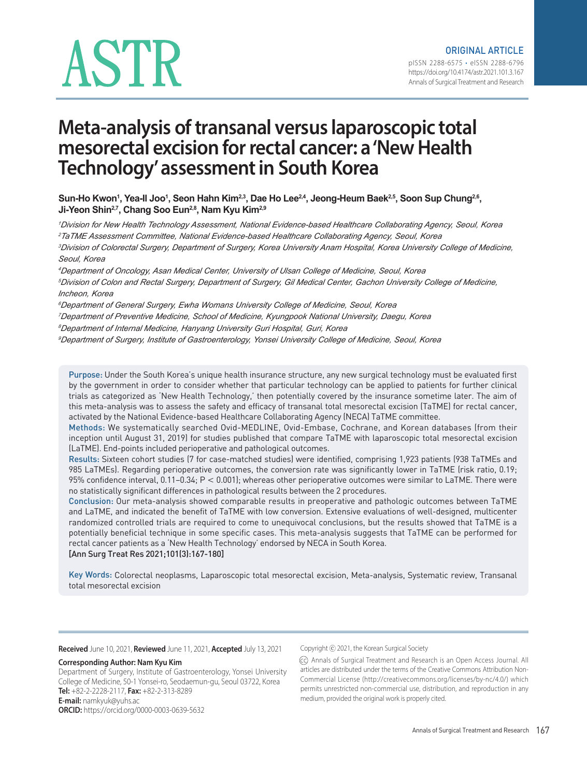# ASTR

# **Meta-analysis of transanal versus laparoscopic total mesorectal excision for rectal cancer: a 'New Health Technology' assessment in South Korea**

Sun-Ho Kwon<sup>1</sup>, Yea-Il Joo<sup>1</sup>, Seon Hahn Kim<sup>2,3</sup>, Dae Ho Lee<sup>2,4</sup>, Jeong-Heum Baek<sup>2,5</sup>, Soon Sup Chung<sup>2,6</sup>, Ji-Yeon Shin<sup>2,7</sup>, Chang Soo Eun<sup>2,8</sup>, Nam Kyu Kim<sup>2,9</sup>

*<sup>1</sup>Division for New Health Technology Assessment, National Evidence-based Healthcare Collaborating Agency, Seoul, Korea <sup>2</sup>TaTME Assessment Committee, National Evidence-based Healthcare Collaborating Agency, Seoul, Korea*

*<sup>3</sup>Division of Colorectal Surgery, Department of Surgery, Korea University Anam Hospital, Korea University College of Medicine, Seoul, Korea*

*<sup>4</sup>Department of Oncology, Asan Medical Center, University of Ulsan College of Medicine, Seoul, Korea*

*<sup>5</sup>Division of Colon and Rectal Surgery, Department of Surgery, Gil Medical Center, Gachon University College of Medicine, Incheon, Korea*

*<sup>6</sup>Department of General Surgery, Ewha Womans University College of Medicine, Seoul, Korea*

*<sup>7</sup>Department of Preventive Medicine, School of Medicine, Kyungpook National University, Daegu, Korea*

*<sup>8</sup>Department of Internal Medicine, Hanyang University Guri Hospital, Guri, Korea*

*<sup>9</sup>Department of Surgery, Institute of Gastroenterology, Yonsei University College of Medicine, Seoul, Korea*

Purpose: Under the South Korea's unique health insurance structure, any new surgical technology must be evaluated first by the government in order to consider whether that particular technology can be applied to patients for further clinical trials as categorized as 'New Health Technology,' then potentially covered by the insurance sometime later. The aim of this meta-analysis was to assess the safety and efficacy of transanal total mesorectal excision (TaTME) for rectal cancer, activated by the National Evidence-based Healthcare Collaborating Agency (NECA) TaTME committee.

Methods: We systematically searched Ovid-MEDLINE, Ovid-Embase, Cochrane, and Korean databases (from their inception until August 31, 2019) for studies published that compare TaTME with laparoscopic total mesorectal excision (LaTME). End-points included perioperative and pathological outcomes.

Results: Sixteen cohort studies (7 for case-matched studies) were identified, comprising 1,923 patients (938 TaTMEs and 985 LaTMEs). Regarding perioperative outcomes, the conversion rate was significantly lower in TaTME (risk ratio, 0.19; 95% confidence interval, 0.11–0.34; P < 0.001); whereas other perioperative outcomes were similar to LaTME. There were no statistically significant differences in pathological results between the 2 procedures.

Conclusion: Our meta-analysis showed comparable results in preoperative and pathologic outcomes between TaTME and LaTME, and indicated the benefit of TaTME with low conversion. Extensive evaluations of well-designed, multicenter randomized controlled trials are required to come to unequivocal conclusions, but the results showed that TaTME is a potentially beneficial technique in some specific cases. This meta-analysis suggests that TaTME can be performed for rectal cancer patients as a 'New Health Technology' endorsed by NECA in South Korea. [Ann Surg Treat Res 2021;101(3):167-180]

Key Words: Colorectal neoplasms, Laparoscopic total mesorectal excision, Meta-analysis, Systematic review, Transanal total mesorectal excision

#### **Received** June 10, 2021, **Reviewed** June 11, 2021, **Accepted** July 13, 2021

# **Corresponding Author: Nam Kyu Kim**

Department of Surgery, Institute of Gastroenterology, Yonsei University College of Medicine, 50-1 Yonsei-ro, Seodaemun-gu, Seoul 03722, Korea **Tel:** +82-2-2228-2117, **Fax:** +82-2-313-8289 **E-mail:** namkyuk@yuhs.ac **ORCID:** https://orcid.org/0000-0003-0639-5632

Copyright ⓒ 2021, the Korean Surgical Society

(cc) Annals of Surgical Treatment and Research is an Open Access Journal. All articles are distributed under the terms of the Creative Commons Attribution Non-Commercial License (http://creativecommons.org/licenses/by-nc/4.0/) which permits unrestricted non-commercial use, distribution, and reproduction in any medium, provided the original work is properly cited.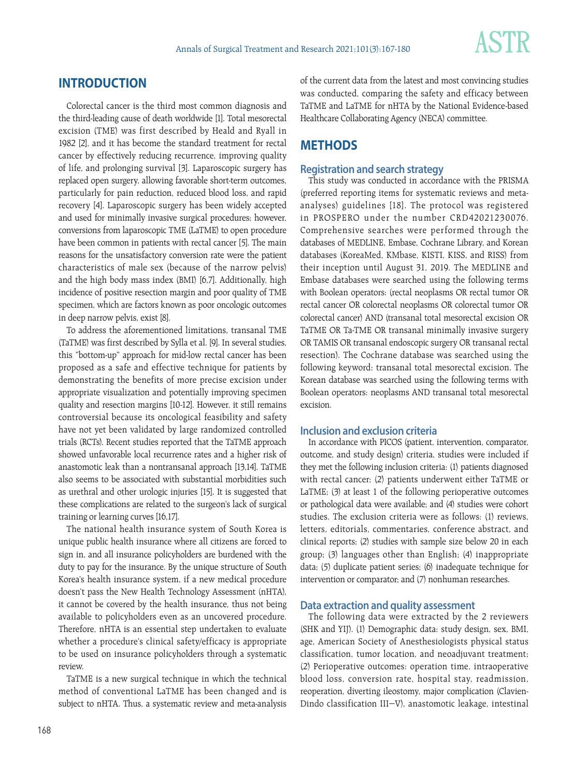

# **INTRODUCTION**

Colorectal cancer is the third most common diagnosis and the third-leading cause of death worldwide [1]. Total mesorectal excision (TME) was first described by Heald and Ryall in 1982 [2], and it has become the standard treatment for rectal cancer by effectively reducing recurrence, improving quality of life, and prolonging survival [3]. Laparoscopic surgery has replaced open surgery, allowing favorable short-term outcomes, particularly for pain reduction, reduced blood loss, and rapid recovery [4]. Laparoscopic surgery has been widely accepted and used for minimally invasive surgical procedures; however, conversions from laparoscopic TME (LaTME) to open procedure have been common in patients with rectal cancer [5]. The main reasons for the unsatisfactory conversion rate were the patient characteristics of male sex (because of the narrow pelvis) and the high body mass index (BMI) [6,7]. Additionally, high incidence of positive resection margin and poor quality of TME specimen, which are factors known as poor oncologic outcomes in deep narrow pelvis, exist [8].

To address the aforementioned limitations, transanal TME (TaTME) was first described by Sylla et al. [9]. In several studies, this "bottom-up" approach for mid-low rectal cancer has been proposed as a safe and effective technique for patients by demonstrating the benefits of more precise excision under appropriate visualization and potentially improving specimen quality and resection margins [10-12]. However, it still remains controversial because its oncological feasibility and safety have not yet been validated by large randomized controlled trials (RCTs). Recent studies reported that the TaTME approach showed unfavorable local recurrence rates and a higher risk of anastomotic leak than a nontransanal approach [13,14]. TaTME also seems to be associated with substantial morbidities such as urethral and other urologic injuries [15]. It is suggested that these complications are related to the surgeon's lack of surgical training or learning curves [16,17].

The national health insurance system of South Korea is unique public health insurance where all citizens are forced to sign in, and all insurance policyholders are burdened with the duty to pay for the insurance. By the unique structure of South Korea's health insurance system, if a new medical procedure doesn't pass the New Health Technology Assessment (nHTA), it cannot be covered by the health insurance, thus not being available to policyholders even as an uncovered procedure. Therefore, nHTA is an essential step undertaken to evaluate whether a procedure's clinical safety/efficacy is appropriate to be used on insurance policyholders through a systematic review.

TaTME is a new surgical technique in which the technical method of conventional LaTME has been changed and is subject to nHTA. Thus, a systematic review and meta-analysis of the current data from the latest and most convincing studies was conducted, comparing the safety and efficacy between TaTME and LaTME for nHTA by the National Evidence-based Healthcare Collaborating Agency (NECA) committee.

# **METHODS**

# **Registration and search strategy**

This study was conducted in accordance with the PRISMA (preferred reporting items for systematic reviews and metaanalyses) guidelines [18]. The protocol was registered in PROSPERO under the number CRD42021230076. Comprehensive searches were performed through the databases of MEDLINE, Embase, Cochrane Library, and Korean databases (KoreaMed, KMbase, KISTI, KISS, and RISS) from their inception until August 31, 2019. The MEDLINE and Embase databases were searched using the following terms with Boolean operators: (rectal neoplasms OR rectal tumor OR rectal cancer OR colorectal neoplasms OR colorectal tumor OR colorectal cancer) AND (transanal total mesorectal excision OR TaTME OR Ta-TME OR transanal minimally invasive surgery OR TAMIS OR transanal endoscopic surgery OR transanal rectal resection). The Cochrane database was searched using the following keyword: transanal total mesorectal excision. The Korean database was searched using the following terms with Boolean operators: neoplasms AND transanal total mesorectal excision.

# **Inclusion and exclusion criteria**

In accordance with PICOS (patient, intervention, comparator, outcome, and study design) criteria, studies were included if they met the following inclusion criteria: (1) patients diagnosed with rectal cancer; (2) patients underwent either TaTME or LaTME; (3) at least 1 of the following perioperative outcomes or pathological data were available; and (4) studies were cohort studies. The exclusion criteria were as follows: (1) reviews, letters, editorials, commentaries, conference abstract, and clinical reports; (2) studies with sample size below 20 in each group; (3) languages other than English; (4) inappropriate data; (5) duplicate patient series; (6) inadequate technique for intervention or comparator; and (7) nonhuman researches.

# **Data extraction and quality assessment**

The following data were extracted by the 2 reviewers (SHK and YIJ). (1) Demographic data: study design, sex, BMI, age, American Society of Anesthesiologists physical status classification, tumor location, and neoadjuvant treatment; (2) Perioperative outcomes: operation time, intraoperative blood loss, conversion rate, hospital stay, readmission, reoperation, diverting ileostomy, major complication (Clavien-Dindo classification III−V), anastomotic leakage, intestinal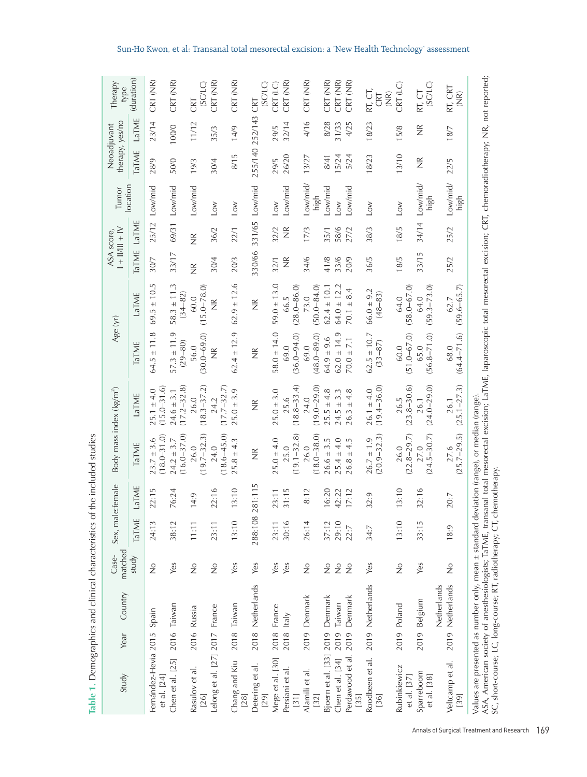| Study                                                                                                                                                                                                                                                                                                                                                  | Year         | Country                | matched<br>Case-               | Sex, male:female |                        |                                   | Body mass index (kg/m <sup>2</sup> ) | Age (yr)                       |                                | $1 +   1   +  V$<br>ASA score, |                    | location<br>Tumor | therapy, yes/no<br>Neoadjuvant |                    | Therapy<br>type                                      |
|--------------------------------------------------------------------------------------------------------------------------------------------------------------------------------------------------------------------------------------------------------------------------------------------------------------------------------------------------------|--------------|------------------------|--------------------------------|------------------|------------------------|-----------------------------------|--------------------------------------|--------------------------------|--------------------------------|--------------------------------|--------------------|-------------------|--------------------------------|--------------------|------------------------------------------------------|
|                                                                                                                                                                                                                                                                                                                                                        |              |                        | study                          | TaTME            | LaTME                  | TaTME                             | LaTME                                | TaTME                          | LaTME                          | TaTME                          | LaTME              |                   | <b>TaTME</b>                   | LaTME              | (duration)                                           |
| Fernández-Hevia 2015<br>et al. [24]                                                                                                                                                                                                                                                                                                                    |              | Spain                  | $\stackrel{\circ}{\mathsf{Z}}$ | 24:13            | 2:15<br>$\sim$         | $(18.0 - 31.0)$<br>$23.7 \pm 3.6$ | $(15.0 - 31.6)$<br>$25.1 \pm 4.0$    | $64.5 \pm 11.8$                | $69.5 \pm 10.5$                | 30/7                           | 25/12              | Low/mid           | 28/9                           | 23/14              | CRT (NR)                                             |
| Chen et al. [25]                                                                                                                                                                                                                                                                                                                                       |              | 2016 Taiwan            | Yes                            | 38:12            | 6:24<br>$\overline{ }$ | $(16.0 - 37.0)$<br>$24.2 \pm 3.7$ | $(17.2 - 32.8)$<br>$24.6 \pm 3.1$    | $57.3 \pm 11.9$<br>$(29 - 80)$ | $58.3 \pm 11.3$<br>$(34 - 82)$ | 33/17                          | 69/31              | Low/mid           | 50/0                           | 100/0              | CRT (NR)                                             |
| Rasulov et al.<br>[26]                                                                                                                                                                                                                                                                                                                                 |              | 2016 Russia            | $\frac{1}{2}$                  | 11:11            | 14:9                   | $(19.7 - 32.3)$<br>26.0           | $(18.3 - 37.2)$<br>26.0              | $(30.0 - 69.0)$<br>56.0        | $(15.0 - 78.0)$<br>60.0        | $\frac{\alpha}{\alpha}$        | $\frac{\alpha}{Z}$ | Low/mid           | 19/3                           | 11/12              | (SCLC)<br>CRT                                        |
| Lelong et al. [27] 2017 France                                                                                                                                                                                                                                                                                                                         |              |                        | $\stackrel{\circ}{\mathsf{Z}}$ | 23:11            | 22:16                  | $(18.6 - 45.0)$<br>24.0           | $(17.7 - 32.7)$<br>24.2              | $\frac{\alpha}{\alpha}$        | $\widetilde{\Xi}$              | 30/4                           | 36/2               | Low               | 30/4                           | 35/3               | CRT (NR)                                             |
| Chang and Kiu<br>[28]                                                                                                                                                                                                                                                                                                                                  |              | 2018 Taiwan            | Yes                            | 13:10            | 3:10                   | $25.8 \pm 4.3$                    | $25.0 \pm 3.9$                       | $62.4 \pm 12.9$                | $.9 \pm 12.6$<br>62.           | 20/3                           | 22/1               | $\sum$            | 8/15                           | 14/9               | CRT (NR)                                             |
| Detering et al.<br>[29]                                                                                                                                                                                                                                                                                                                                |              | 2018 Netherlands       | Yes                            | 288:108 281:115  |                        | $\frac{\alpha}{Z}$                | $\frac{\alpha}{Z}$                   | $\frac{\alpha}{2}$             | $\frac{\alpha}{\alpha}$        | 330/66                         | 331/65             | Low/mid           | 255/140                        | 252/143            | (SCLC)<br>CRT                                        |
| Mege et al. [30]                                                                                                                                                                                                                                                                                                                                       | 2018         | France                 | Yes                            | 23:11            | 23:11                  | $25.0 \pm 4.0$                    | $25.0 \pm 3.0$                       | $58.0 \pm 14.0$                | $59.0 \pm 13.0$                | 32/1                           | 32/2               | $_{\text{low}}$   | 29/5                           | 29/5               | CRT <sub>(LC)</sub>                                  |
| Persiani et al.<br>$[31]$                                                                                                                                                                                                                                                                                                                              | $2018$ Italy |                        | Yes                            | 30:16            | 31:15                  | $(19.1 - 32.8)$<br>25.0           | $(18.8 - 33.4)$<br>25.6              | $(36.0 - 94.0)$<br>69.0        | $(28.0 - 86.0)$<br>66.5        | $\frac{\alpha}{2}$             | $\frac{\alpha}{2}$ | Low/mid           | 26/20                          | 32/14              | CRT (NR)                                             |
| Alamili et al.<br>[32]                                                                                                                                                                                                                                                                                                                                 | 2019         | Denmark                | $\stackrel{\circ}{\mathsf{Z}}$ | 26:14            | 8:12                   | $(18.0 - 38.0)$<br>26.0           | $(19.0 - 29.0)$<br>24.0              | $(48.0 - 89.0)$<br>69.0        | $(50.0 - 84.0)$<br>73.0        | 34/6                           | 17/3               | Low/mid/<br>high  | 13/27                          | 4/16               | CRT (NR)                                             |
| Bjoern et al. [33] 2019                                                                                                                                                                                                                                                                                                                                |              | Denmark                | $\stackrel{\circ}{\mathsf{Z}}$ | 37:12            | 6:20                   | $26.6 \pm 3.5$                    | $25.5 \pm 4.8$                       | $64.9 \pm 9.6$                 | $62.4 \pm 10.1$                | 41/8                           | 35/1               | Low/mid           | 8/41                           | 8/28               | CRT (NR)                                             |
| Chen et al. [34]                                                                                                                                                                                                                                                                                                                                       | 2019         | Taiwan                 | $\frac{1}{2}$                  | 29:10            | 42:22                  | $25.4 \pm 4.0$                    | $24.5 \pm 3.3$                       | $62.0 \pm 14.9$                | $64.0 \pm 12.2$                | 33/6                           | 58/6               | Low               | 15/24                          | 31/33              | CRT (NR)                                             |
| Perdawood et al.<br>[35]                                                                                                                                                                                                                                                                                                                               | 2019         | Denmark                | $\frac{1}{2}$                  | 22:7             | 17:12                  | $26.8 \pm 4.5$                    | $26.3 \pm 4.8$                       | $70.0 \pm 7.1$                 | $70.1 \pm 8.4$                 | 20/9                           | 27/2               | ow/mid            | 5/24                           | 4/25               | CRT (NR)                                             |
| Roodbeen et al. 2019 Netherlands<br>[36]                                                                                                                                                                                                                                                                                                               |              |                        | Yes                            | 34:7             | 32:9                   | $(20.9 - 32.3)$<br>$26.7 \pm 1.9$ | $(19.4 - 36.0)$<br>$26.1 \pm 4.0$    | $62.5 \pm 10.7$<br>$(33 - 87)$ | $66.0 \pm 9.2$<br>$(48 - 83)$  | 36/5                           | 38/3               | $_{\rm{LOW}}$     | 18/23                          | 18/23              | RT, CT,<br>$\widetilde{R}$<br>CRT                    |
| Rubinkiewicz<br>et al. [37]                                                                                                                                                                                                                                                                                                                            |              | 2019 Poland            | $\frac{1}{2}$                  | 13:10            | 13:10                  | $(22.8 - 29.7)$<br>26.0           | $(23.8 - 30.6)$<br>26.5              | $(51.0 - 67.0)$<br>60.0        | $(58.0 - 67.0)$<br>64.0        | 18/5                           | 18/5               | Low               | 13/10                          | 15/8               | CRT (LC)                                             |
| Sparreboom<br>et al. [38]                                                                                                                                                                                                                                                                                                                              | 2019         | Netherlands<br>Belgium | Yes                            | 33:15            | 32:16                  | $(24.5 - 30.7)$<br>27.0           | $(24.0 - 29.0)$<br>26.1              | $(56.8 - 71.0)$<br>65.0        | $(59.3 - 73.0)$<br>64.0        | 33/15                          | 34/14              | Low/mid/<br>high  | $\frac{\alpha}{\alpha}$        | $\frac{\alpha}{Z}$ | (SCLC)<br>RT, CT                                     |
| Veltcamp et al.<br>$[39]$                                                                                                                                                                                                                                                                                                                              | 2019         | Netherlands            | $\frac{1}{2}$                  | 18:9             | 0:7<br>$\sim$          | $(25.7 - 29.5)$<br>27.6           | $(25.1 - 27.3)$<br>26.1              | $(64.4 - 71.6)$<br>68.0        | $(59.6 - 65.7)$<br>62.7        | 25/2                           | 25/2               | Low/mid/<br>high  | 22/5                           | 18/7               | rt, crt<br>$\frac{\widehat{\mathsf{R}}}{\mathsf{Z}}$ |
| ASA, American society of anesthesiologists; TaTME, transanal total mesorectal excision; LaTME, laparoscopic total mesorectal excision; CRT, chemoradiotherapy; NR, not reported;<br>Values are presented as number only, mean ± standard deviation (range), or median (range)<br>SC, short-course; LC, long-course; RT, radiotherapy; CT, chemotherapy |              |                        |                                |                  |                        |                                   |                                      |                                |                                |                                |                    |                   |                                |                    |                                                      |

Table 1. Demographics and clinical characteristics of the included studies **Table 1.** Demographics and clinical characteristics of the included studies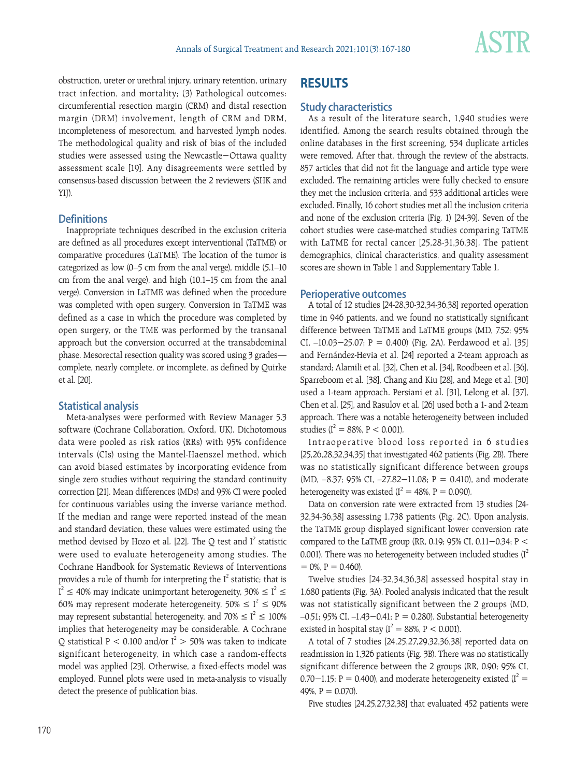

obstruction, ureter or urethral injury, urinary retention, urinary tract infection, and mortality; (3) Pathological outcomes: circumferential resection margin (CRM) and distal resection margin (DRM) involvement, length of CRM and DRM, incompleteness of mesorectum, and harvested lymph nodes. The methodological quality and risk of bias of the included studies were assessed using the Newcastle−Ottawa quality assessment scale [19]. Any disagreements were settled by consensus-based discussion between the 2 reviewers (SHK and YIJ).

# **Definitions**

Inappropriate techniques described in the exclusion criteria are defined as all procedures except interventional (TaTME) or comparative procedures (LaTME). The location of the tumor is categorized as low (0–5 cm from the anal verge), middle (5.1–10 cm from the anal verge), and high (10.1–15 cm from the anal verge). Conversion in LaTME was defined when the procedure was completed with open surgery. Conversion in TaTME was defined as a case in which the procedure was completed by open surgery, or the TME was performed by the transanal approach but the conversion occurred at the transabdominal phase. Mesorectal resection quality was scored using 3 grades complete, nearly complete, or incomplete, as defined by Quirke et al. [20].

# **Statistical analysis**

Meta-analyses were performed with Review Manager 5.3 software (Cochrane Collaboration, Oxford, UK). Dichotomous data were pooled as risk ratios (RRs) with 95% confidence intervals (CIs) using the Mantel-Haenszel method, which can avoid biased estimates by incorporating evidence from single zero studies without requiring the standard continuity correction [21]. Mean differences (MDs) and 95% CI were pooled for continuous variables using the inverse variance method. If the median and range were reported instead of the mean and standard deviation, these values were estimated using the method devised by Hozo et al. [22]. The Q test and  $I^2$  statistic were used to evaluate heterogeneity among studies. The Cochrane Handbook for Systematic Reviews of Interventions provides a rule of thumb for interpreting the  $I^2$  statistic; that is  $I^2 \leq 40\%$  may indicate unimportant heterogeneity, 30%  $\leq I^2 \leq 1$ 60% may represent moderate heterogeneity, 50%  $\leq I^2 \leq 90\%$ may represent substantial heterogeneity, and 70%  $\leq I^2 \leq 100\%$ implies that heterogeneity may be considerable. A Cochrane Q statistical P < 0.100 and/or  $I^2 > 50\%$  was taken to indicate significant heterogeneity, in which case a random-effects model was applied [23]. Otherwise, a fixed-effects model was employed. Funnel plots were used in meta-analysis to visually detect the presence of publication bias.

# **RESULTS**

# **Study characteristics**

As a result of the literature search, 1,940 studies were identified. Among the search results obtained through the online databases in the first screening, 534 duplicate articles were removed. After that, through the review of the abstracts, 857 articles that did not fit the language and article type were excluded. The remaining articles were fully checked to ensure they met the inclusion criteria, and 533 additional articles were excluded. Finally, 16 cohort studies met all the inclusion criteria and none of the exclusion criteria (Fig. 1) [24-39]. Seven of the cohort studies were case-matched studies comparing TaTME with LaTME for rectal cancer [25,28-31,36,38]. The patient demographics, clinical characteristics, and quality assessment scores are shown in Table 1 and Supplementary Table 1.

# **Perioperative outcomes**

A total of 12 studies [24-28,30-32,34-36,38] reported operation time in 946 patients, and we found no statistically significant difference between TaTME and LaTME groups (MD, 7.52; 95% CI, –10.03−25.07; P = 0.400) (Fig. 2A). Perdawood et al. [35] and Fernández-Hevia et al. [24] reported a 2-team approach as standard; Alamili et al. [32], Chen et al. [34], Roodbeen et al. [36], Sparreboom et al. [38], Chang and Kiu [28], and Mege et al. [30] used a 1-team approach. Persiani et al. [31], Lelong et al. [37], Chen et al. [25], and Rasulov et al. [26] used both a 1- and 2-team approach. There was a notable heterogeneity between included studies ( $I^2 = 88\%$ ,  $P < 0.001$ ).

Intraoperative blood loss reported in 6 studies [25,26,28,32,34,35] that investigated 462 patients (Fig. 2B). There was no statistically significant difference between groups (MD, –8.37; 95% CI, –27.82−11.08; P = 0.410), and moderate heterogeneity was existed  $(I^2 = 48\% , P = 0.090)$ .

Data on conversion rate were extracted from 13 studies [24- 32,34-36,38] assessing 1,738 patients (Fig. 2C). Upon analysis, the TaTME group displayed significant lower conversion rate compared to the LaTME group (RR, 0.19; 95% CI, 0.11−0.34; P < 0.001). There was no heterogeneity between included studies  $(I^2)$  $= 0\%$ ,  $P = 0.460$ ).

Twelve studies [24-32,34,36,38] assessed hospital stay in 1,680 patients (Fig. 3A). Pooled analysis indicated that the result was not statistically significant between the 2 groups (MD, –0.51; 95% CI, –1.43−0.41; P = 0.280). Substantial heterogeneity existed in hospital stay ( $I^2 = 88\%$ , P < 0.001).

A total of 7 studies [24,25,27,29,32,36,38] reported data on readmission in 1,326 patients (Fig. 3B). There was no statistically significant difference between the 2 groups (RR, 0.90; 95% CI,  $0.70-1.15$ ; P = 0.400), and moderate heterogeneity existed ( $I^2$  = 49%,  $P = 0.070$ .

Five studies [24,25,27,32,38] that evaluated 452 patients were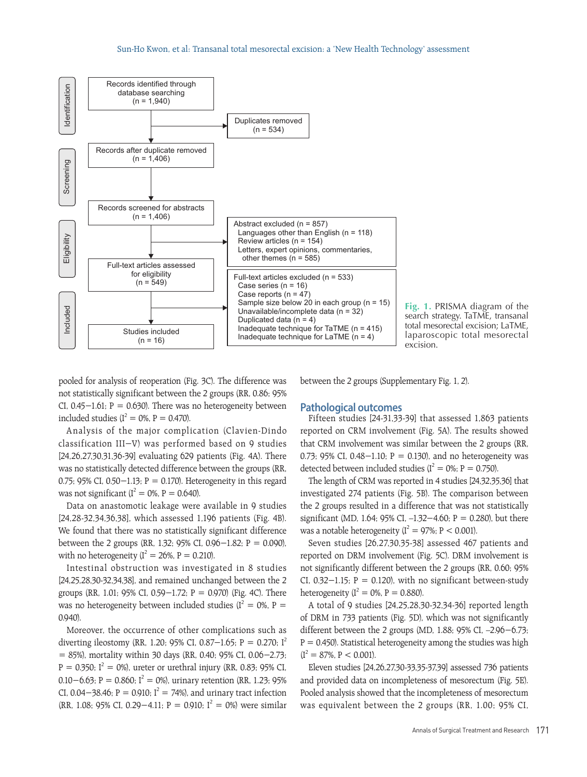

**Fig. 1.** PRISMA diagram of the search strategy. TaTME, transanal total mesorectal excision; LaTME, laparoscopic total mesorectal excision.

pooled for analysis of reoperation (Fig. 3C). The difference was not statistically significant between the 2 groups (RR, 0.86; 95% CI,  $0.45-1.61$ ; P = 0.630). There was no heterogeneity between included studies ( $I^2 = 0$ %, P = 0.470).

Analysis of the major complication (Clavien-Dindo classification III−V) was performed based on 9 studies [24,26,27,30,31,36-39] evaluating 629 patients (Fig. 4A). There was no statistically detected difference between the groups (RR, 0.75; 95% CI, 0.50−1.13; P = 0.170). Heterogeneity in this regard was not significant ( $I^2 = 0$ %, P = 0.640).

Data on anastomotic leakage were available in 9 studies [24,28-32,34,36,38], which assessed 1,196 patients (Fig. 4B). We found that there was no statistically significant difference between the 2 groups (RR, 1.32; 95% CI, 0.96−1.82; P = 0.090), with no heterogeneity ( $I^2 = 26$ %, P = 0.210).

Intestinal obstruction was investigated in 8 studies [24,25,28,30-32,34,38], and remained unchanged between the 2 groups (RR, 1.01; 95% CI, 0.59−1.72; P = 0.970) (Fig. 4C). There was no heterogeneity between included studies ( $I^2 = 0$ %, P = 0.940).

Moreover, the occurrence of other complications such as diverting ileostomy (RR, 1.20; 95% CI, 0.87−1.65; P = 0.270; I<sup>2</sup> = 85%), mortality within 30 days (RR, 0.40; 95% CI, 0.06−2.73;  $P = 0.350$ ;  $I^2 = 0$ %), ureter or urethral injury (RR, 0.83; 95% CI,  $0.10 - 6.63$ ; P = 0.860; I<sup>2</sup> = 0%), urinary retention (RR, 1.23; 95% CI, 0.04–38.46; P = 0.910; I<sup>2</sup> = 74%), and urinary tract infection (RR, 1.08; 95% CI, 0.29–4.11; P = 0.910; I<sup>2</sup> = 0%) were similar between the 2 groups (Supplementary Fig. 1, 2).

# **Pathological outcomes**

Fifteen studies [24-31,33-39] that assessed 1,863 patients reported on CRM involvement (Fig. 5A). The results showed that CRM involvement was similar between the 2 groups (RR, 0.73; 95% CI, 0.48−1.10; P = 0.130), and no heterogeneity was detected between included studies ( $I^2 = 0$ %; P = 0.750).

The length of CRM was reported in 4 studies [24,32,35,36] that investigated 274 patients (Fig. 5B). The comparison between the 2 groups resulted in a difference that was not statistically significant (MD, 1.64; 95% CI, –1.32−4.60; P = 0.280), but there was a notable heterogeneity ( $I^2 = 97\%$ ; P < 0.001).

Seven studies [26,27,30,35-38] assessed 467 patients and reported on DRM involvement (Fig. 5C). DRM involvement is not significantly different between the 2 groups (RR, 0.60; 95% CI,  $0.32-1.15$ ; P = 0.120), with no significant between-study heterogeneity ( $I^2 = 0$ %, P = 0.880).

A total of 9 studies [24,25,28,30-32,34-36] reported length of DRM in 733 patients (Fig. 5D), which was not significantly different between the 2 groups (MD, 1.88; 95% CI, –2.96−6.73;  $P = 0.450$ ). Statistical heterogeneity among the studies was high  $(I^2 = 87\%, P < 0.001)$ .

Eleven studies [24,26,27,30-33,35-37,39] assessed 736 patients and provided data on incompleteness of mesorectum (Fig. 5E). Pooled analysis showed that the incompleteness of mesorectum was equivalent between the 2 groups (RR, 1.00; 95% CI,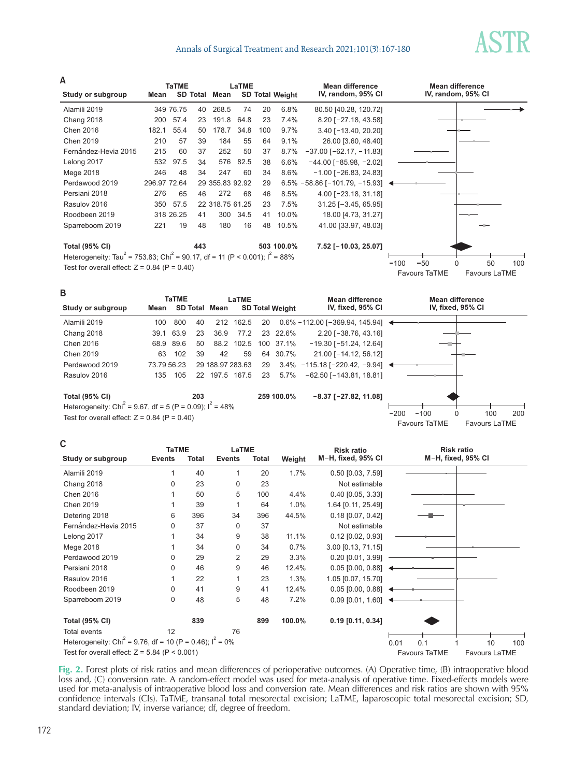# Annals of Surgical Treatment and Research 2021;101(3):167-180



**TaTME LaTME Study or subgroup** Alamili 2019 Chang 2018 Chen 2016 Chen 2019 Fernández-Hevia 2015 Lelong 2017 Mege 2018 Perdawood 2019 Persiani 2018 Rasulov 2016 Roodbeen 2019 Sparreboom 2019 Heterogeneity: Tau<sup>2</sup> = 753.83; Chi<sup>2</sup> = 90.17, df = 11 (P < 0.001);  $I^2$  = 88% Test for overall effect:  $Z = 0.84$  (P = 0.40) **Total (95% CI)** 349 76.75 200 182.1 210 215 532 246 296.97 72.64 276 350 318 26.25 221 57.4 55.4 57 60 97.5 48 65 57.5 19 **Mean** SD Total Weight 6.8% 7.4% 9.7% 9.1% 8.7% 6.6% 8.6% 6.5% −58.86 [−101.79, −15.93] 8.5% 7.5% 10.0% 10.5% **100.0% 503** 40 23 50 39 37 34 34 29 355.83 92.92 46 22 318.75 61.25 41 48 **443 Mean SD Total** 80.50 [40.28, 120.72] 8.20 [ 27.18, 43.58] 3.40 [ 13.40, 20.20] 26.00 [3.60, 48.40]  $-37.00$  [ $-62.17$ ,  $-11.83$ ]  $-44.00$  [ $-85.98$ ,  $-2.02$ ]  $-1.00$  [ $-26.83$ , 24.83] 4.00 [ 23.18, 31.18]  $31.25$  [ $-3.45, 65.95$ ] 18.00 [4.73, 31.27] 41.00 [33.97, 48.03] **7.52 [ 10.03, 25.07] Mean difference IV, random, 95% CI** Favours TaTME Favours LaTME **Mean difference IV, random, 95% CI** 100 50 0 50 100 268.5 191.8 178.7 184 252 576 247 272 300 180 74 64.8 34.8 55 50 82.5 60 68 34.5 16 20 23 100  $64$ 37 38 34 29 46 23 41 48 **A**



| С                                                                       | <b>TaTME</b>  |       | LaTME         |       |        | <b>Risk ratio</b>                        |                      | <b>Risk ratio</b>  |                      |
|-------------------------------------------------------------------------|---------------|-------|---------------|-------|--------|------------------------------------------|----------------------|--------------------|----------------------|
| Study or subgroup                                                       | <b>Events</b> | Total | <b>Events</b> | Total | Weight | M-H, fixed, 95% CI                       |                      | M-H, fixed, 95% CI |                      |
| Alamili 2019                                                            |               | 40    | 1             | 20    | 1.7%   | $0.50$ [0.03, 7.59]                      |                      |                    |                      |
| Chang 2018                                                              | 0             | 23    | 0             | 23    |        | Not estimable                            |                      |                    |                      |
| <b>Chen 2016</b>                                                        |               | 50    | 5             | 100   | 4.4%   | $0.40$ [0.05, 3.33]                      |                      |                    |                      |
| Chen 2019                                                               |               | 39    | 1             | 64    | 1.0%   | 1.64 [0.11, 25.49]                       |                      |                    |                      |
| Detering 2018                                                           | 6             | 396   | 34            | 396   | 44.5%  | $0.18$ [0.07, 0.42]                      |                      |                    |                      |
| Fernández-Hevia 2015                                                    | 0             | 37    | 0             | 37    |        | Not estimable                            |                      |                    |                      |
| Lelong 2017                                                             |               | 34    | 9             | 38    | 11.1%  | $0.12$ [0.02, 0.93]                      |                      |                    |                      |
| Mege 2018                                                               |               | 34    | $\mathbf 0$   | 34    | 0.7%   | 3.00 [0.13, 71.15]                       |                      |                    |                      |
| Perdawood 2019                                                          | 0             | 29    | 2             | 29    | 3.3%   | $0.20$ [0.01, 3.99]                      |                      |                    |                      |
| Persiani 2018                                                           | 0             | 46    | 9             | 46    | 12.4%  | $0.05$ $[0.00, 0.88]$                    |                      |                    |                      |
| Rasulov 2016                                                            |               | 22    | 1             | 23    | 1.3%   | 1.05 [0.07, 15.70]                       |                      |                    |                      |
| Roodbeen 2019                                                           | 0             | 41    | 9             | 41    | 12.4%  | $0.05$ [0.00, 0.88] $\blacktriangleleft$ |                      |                    |                      |
| Sparreboom 2019                                                         | 0             | 48    | 5             | 48    | 7.2%   | 0.09 [0.01, 1.60] $\blacktriangleleft$   |                      |                    |                      |
| <b>Total (95% CI)</b>                                                   |               | 839   |               | 899   | 100.0% | $0.19$ [0.11, 0.34]                      |                      |                    |                      |
| Total events                                                            | 12            |       | 76            |       |        |                                          |                      |                    |                      |
| Heterogeneity: Chi <sup>2</sup> = 9.76, df = 10 (P = 0.46); $I^2 = 0\%$ |               |       |               |       |        |                                          | 0.1<br>0.01          |                    | 100<br>10            |
| Test for overall effect: $Z = 5.84$ (P < 0.001)                         |               |       |               |       |        |                                          | <b>Favours TaTME</b> |                    | <b>Favours LaTME</b> |

**Fig. 2.** Forest plots of risk ratios and mean differences of perioperative outcomes. (A) Operative time, (B) intraoperative blood loss and, (C) conversion rate. A random-effect model was used for meta-analysis of operative time. Fixed-effects models were used for meta-analysis of intraoperative blood loss and conversion rate. Mean differences and risk ratios are shown with 95% confidence intervals (CIs). TaTME, transanal total mesorectal excision; LaTME, laparoscopic total mesorectal excision; SD, standard deviation; IV, inverse variance; df, degree of freedom.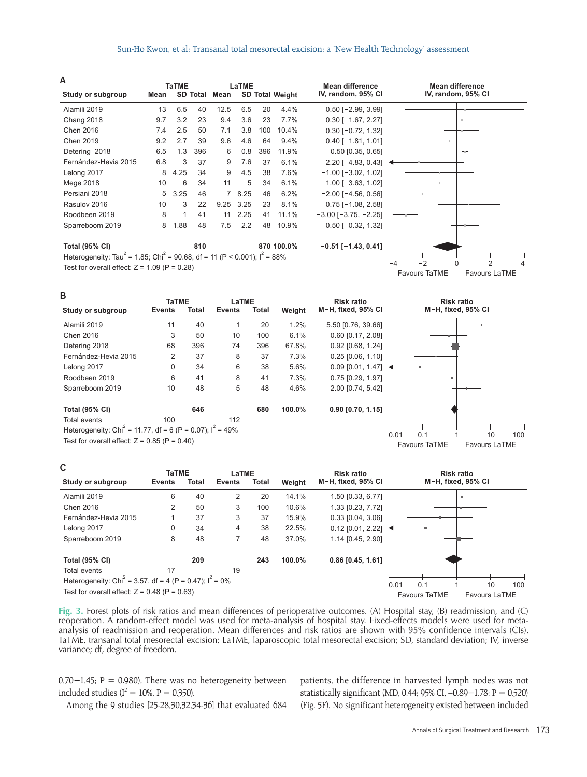#### Sun-Ho Kwon, et al: Transanal total mesorectal excision: a 'New Health Technology' assessment

**A**

**C**

|                                                                                                    |      | <b>TaTME</b> |                 |      | LaTME  |     |                        | <b>Mean difference</b>                    |                      | <b>Mean difference</b> |                      |   |
|----------------------------------------------------------------------------------------------------|------|--------------|-----------------|------|--------|-----|------------------------|-------------------------------------------|----------------------|------------------------|----------------------|---|
| Study or subgroup                                                                                  | Mean |              | <b>SD Total</b> | Mean |        |     | <b>SD Total Weight</b> | IV, random, 95% CI                        |                      | IV, random, 95% CI     |                      |   |
| Alamili 2019                                                                                       | 13   | 6.5          | 40              | 12.5 | 6.5    | 20  | 4.4%                   | $0.50$ [-2.99, 3.99]                      |                      |                        |                      |   |
| Chang 2018                                                                                         | 9.7  | 3.2          | 23              | 9.4  | 3.6    | 23  | 7.7%                   | $0.30$ [-1.67, 2.27]                      |                      |                        |                      |   |
| <b>Chen 2016</b>                                                                                   | 7.4  | 2.5          | 50              | 7.1  | 3.8    | 100 | 10.4%                  | $0.30$ [-0.72, 1.32]                      |                      |                        |                      |   |
| Chen 2019                                                                                          | 9.2  | 2.7          | 39              | 9.6  | 4.6    | 64  | 9.4%                   | $-0.40$ [ $-1.81$ , 1.01]                 |                      |                        |                      |   |
| Detering 2018                                                                                      | 6.5  | 1.3          | 396             | 6    | 0.8    | 396 | 11.9%                  | $0.50$ [0.35, 0.65]                       |                      | et in                  |                      |   |
| Fernández-Hevia 2015                                                                               | 6.8  | 3            | 37              | 9    | 7.6    | 37  | 6.1%                   | $-2.20$ [ $-4.83$ , 0.43] $\triangleleft$ |                      |                        |                      |   |
| Lelong 2017                                                                                        | 8    | 4.25         | 34              | 9    | 4.5    | 38  | 7.6%                   | $-1.00$ [ $-3.02$ , 1.02]                 |                      |                        |                      |   |
| Mege 2018                                                                                          | 10   | 6            | 34              | 11   | 5      | 34  | 6.1%                   | $-1.00$ [ $-3.63$ , 1.02]                 |                      |                        |                      |   |
| Persiani 2018                                                                                      | 5    | 3.25         | 46              |      | 7 8.25 | 46  | 6.2%                   | $-2.00$ [ $-4.56$ , 0.56]                 |                      |                        |                      |   |
| Rasulov 2016                                                                                       | 10   | 3            | 22              | 9.25 | 3.25   | 23  | 8.1%                   | $0.75$ [-1.08, 2.58]                      |                      |                        |                      |   |
| Roodbeen 2019                                                                                      | 8    |              | 41              | 11   | 2.25   | 41  | 11.1%                  | $-3.00$ [ $-3.75$ , $-2.25$ ]             |                      |                        |                      |   |
| Sparreboom 2019                                                                                    | 8    | 1.88         | 48              | 7.5  | 2.2    | 48  | 10.9%                  | $0.50$ [-0.32, 1.32]                      |                      |                        |                      |   |
| <b>Total (95% CI)</b>                                                                              |      |              | 810             |      |        |     | 870 100.0%             | $-0.51$ [ $-1.43$ , 0.41]                 |                      |                        |                      |   |
| Heterogeneity: Tau <sup>2</sup> = 1.85; Chi <sup>2</sup> = 90.68, df = 11 (P < 0.001); $I^2$ = 88% |      |              |                 |      |        |     |                        |                                           | $-2$                 | $\Omega$               | $\overline{2}$       | 4 |
| Test for overall effect: $Z = 1.09$ (P = 0.28)                                                     |      |              |                 |      |        |     |                        |                                           | <b>Favours TaTME</b> |                        | <b>Favours LaTME</b> |   |
|                                                                                                    |      |              |                 |      |        |     |                        |                                           |                      |                        |                      |   |

**TaTME LaTME Study or subgroup** Alamili 2019 Chen 2016 Detering 2018 Fernández-Hevia 2015 Lelong 2017 Roodbeen 2019 Sparreboom 2019 Total events Heterogeneity: Chi<sup>2</sup> = 11.77, df = 6 (P = 0.07);  $I^2$  = 49% Test for overall effect:  $Z = 0.85$  (P = 0.40) **Total (95% CI) Weight** 1.2% 6.1% 67.8% 7.3% 5.6% 7.3% 4.6% **100.0%** 11 3 68 2 0 6 10 100 40 50 396 37 34 41 48 **646 Events** 5.50 [0.76, 39.66] 0.60 [0.17, 2.08] 0.92 [0.68, 1.24] 0.25 [0.06, 1.10] 0.09 [0.01, 1.47] 0.75 [0.29, 1.97] 2.00 [0.74, 5.42] **0.90 [0.70, 1.15] Risk ratio M H, fixed, 95% CI** Favours TaTME Favours LaTME **Risk ratio M H, fixed, 95% CI** 0.01 0.1 1 10 100 1 10 74 8 6 8 5 112 20 100 396 37 38 41 48 **680 Events B**

| ັ                                                                     | <b>TaTME</b>  |       | LaTME  |       |        | <b>Risk ratio</b>     |      |                      | <b>Risk ratio</b> |                      |     |
|-----------------------------------------------------------------------|---------------|-------|--------|-------|--------|-----------------------|------|----------------------|-------------------|----------------------|-----|
| Study or subgroup                                                     | <b>Events</b> | Total | Events | Total | Weight | M-H, fixed, 95% CI    |      |                      |                   | M-H, fixed, 95% CI   |     |
| Alamili 2019                                                          | 6             | 40    | 2      | 20    | 14.1%  | 1.50 [0.33, 6.77]     |      |                      |                   |                      |     |
| Chen 2016                                                             | 2             | 50    | 3      | 100   | 10.6%  | 1.33 [0.23, 7.72]     |      |                      |                   |                      |     |
| Fernández-Hevia 2015                                                  |               | 37    | 3      | 37    | 15.9%  | $0.33$ $[0.04, 3.06]$ |      |                      |                   |                      |     |
| Lelong 2017                                                           | 0             | 34    | 4      | 38    | 22.5%  | $0.12$ [0.01, 2.22]   |      |                      |                   |                      |     |
| Sparreboom 2019                                                       | 8             | 48    |        | 48    | 37.0%  | 1.14 [0.45, 2.90]     |      |                      |                   |                      |     |
| <b>Total (95% CI)</b>                                                 |               | 209   |        | 243   | 100.0% | $0.86$ [0.45, 1.61]   |      |                      |                   |                      |     |
| Total events                                                          | 17            |       | 19     |       |        |                       |      |                      |                   |                      |     |
| Heterogeneity: Chi <sup>2</sup> = 3.57, df = 4 (P = 0.47); $I^2$ = 0% |               |       |        |       |        |                       | 0.01 | 0.1                  |                   | 10                   | 100 |
| Test for overall effect: $Z = 0.48$ (P = 0.63)                        |               |       |        |       |        |                       |      | <b>Favours TaTME</b> |                   | <b>Favours LaTME</b> |     |

**Fig. 3.** Forest plots of risk ratios and mean differences of perioperative outcomes. (A) Hospital stay, (B) readmission, and (C) reoperation. A random-effect model was used for meta-analysis of hospital stay. Fixed-effects models were used for metaanalysis of readmission and reoperation. Mean differences and risk ratios are shown with 95% confidence intervals (CIs). TaTME, transanal total mesorectal excision; LaTME, laparoscopic total mesorectal excision; SD, standard deviation; IV, inverse variance; df, degree of freedom.

0.70−1.45; P = 0.980). There was no heterogeneity between included studies ( $I^2 = 10\%$ , P = 0.350).

Among the 9 studies [25-28,30,32,34-36] that evaluated 684

patients, the difference in harvested lymph nodes was not statistically significant (MD, 0.44; 95% CI, –0.89−1.78; P = 0.520) (Fig. 5F). No significant heterogeneity existed between included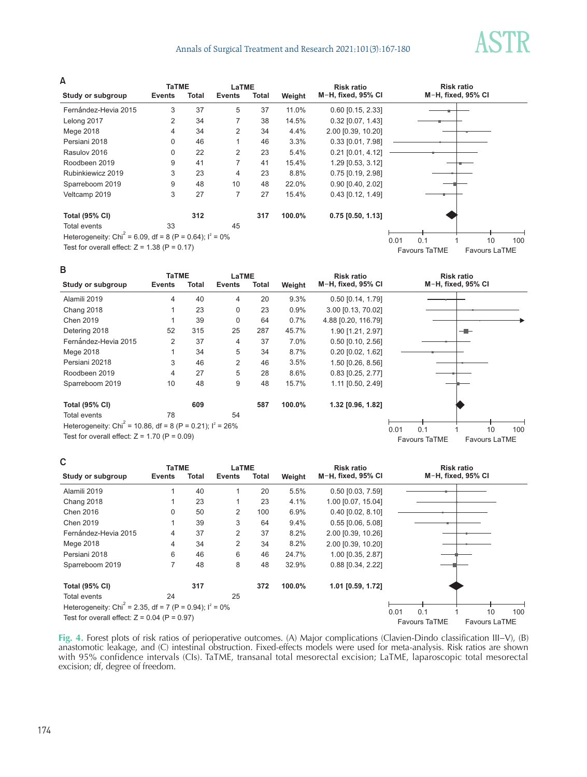# Annals of Surgical Treatment and Research 2021;101(3):167-180



**A**

| -                                                                      | <b>TaTME</b>  |       | LaTME          |       |        | <b>Risk ratio</b>     | <b>Risk ratio</b>                     |
|------------------------------------------------------------------------|---------------|-------|----------------|-------|--------|-----------------------|---------------------------------------|
| Study or subgroup                                                      | <b>Events</b> | Total | <b>Events</b>  | Total | Weight | M-H, fixed, 95% CI    | M-H, fixed, 95% CI                    |
| Fernández-Hevia 2015                                                   | 3             | 37    | 5              | 37    | 11.0%  | $0.60$ [0.15, 2.33]   |                                       |
| Lelong 2017                                                            | 2             | 34    | 7              | 38    | 14.5%  | $0.32$ [0.07, 1.43]   |                                       |
| Mege 2018                                                              | 4             | 34    | $\overline{2}$ | 34    | 4.4%   | 2.00 [0.39, 10.20]    |                                       |
| Persiani 2018                                                          | 0             | 46    |                | 46    | 3.3%   | $0.33$ [0.01, 7.98]   |                                       |
| Rasulov 2016                                                           | 0             | 22    | $\overline{2}$ | 23    | 5.4%   | $0.21$ [0.01, 4.12]   |                                       |
| Roodbeen 2019                                                          | 9             | 41    | 7              | 41    | 15.4%  | 1.29 [0.53, 3.12]     |                                       |
| Rubinkiewicz 2019                                                      | 3             | 23    | 4              | 23    | 8.8%   | $0.75$ [0.19, 2.98]   |                                       |
| Sparreboom 2019                                                        | 9             | 48    | 10             | 48    | 22.0%  | $0.90$ $[0.40, 2.02]$ |                                       |
| Veltcamp 2019                                                          | 3             | 27    | 7              | 27    | 15.4%  | 0.43 [0.12, 1.49]     |                                       |
| <b>Total (95% CI)</b>                                                  |               | 312   |                | 317   | 100.0% | $0.75$ [0.50, 1.13]   |                                       |
| Total events                                                           | 33            |       | 45             |       |        |                       |                                       |
| Heterogeneity: Chi <sup>2</sup> = 6.09, df = 8 (P = 0.64); $I^2 = 0\%$ |               |       |                |       |        |                       | 0.01<br>0.1<br>100<br>10              |
| Test for overall effect: $Z = 1.38$ (P = 0.17)                         |               |       |                |       |        |                       | Favours TaTME<br><b>Favours LaTME</b> |

#### **B**

|                                                                         | <b>TaTME</b>  |       | LaTME         |       |        | <b>Risk ratio</b>     | <b>Risk ratio</b>                     |
|-------------------------------------------------------------------------|---------------|-------|---------------|-------|--------|-----------------------|---------------------------------------|
| Study or subgroup                                                       | <b>Events</b> | Total | <b>Events</b> | Total | Weight | M-H, fixed, 95% CI    | M-H, fixed, 95% CI                    |
| Alamili 2019                                                            | 4             | 40    | 4             | 20    | 9.3%   | $0.50$ [0.14, 1.79]   |                                       |
| Chang 2018                                                              |               | 23    | $\mathbf 0$   | 23    | 0.9%   | 3.00 [0.13, 70.02]    |                                       |
| <b>Chen 2019</b>                                                        |               | 39    | $\mathbf 0$   | 64    | 0.7%   | 4.88 [0.20, 116.79]   |                                       |
| Detering 2018                                                           | 52            | 315   | 25            | 287   | 45.7%  | 1.90 [1.21, 2.97]     |                                       |
| Fernández-Hevia 2015                                                    | 2             | 37    | 4             | 37    | 7.0%   | $0.50$ $[0.10, 2.56]$ |                                       |
| Mege 2018                                                               |               | 34    | 5             | 34    | 8.7%   | $0.20$ $[0.02, 1.62]$ |                                       |
| Persiani 20218                                                          | 3             | 46    | 2             | 46    | 3.5%   | 1.50 [0.26, 8.56]     |                                       |
| Roodbeen 2019                                                           | 4             | 27    | 5             | 28    | 8.6%   | $0.83$ [0.25, 2.77]   |                                       |
| Sparreboom 2019                                                         | 10            | 48    | 9             | 48    | 15.7%  | 1.11 [0.50, 2.49]     |                                       |
| <b>Total (95% CI)</b>                                                   |               | 609   |               | 587   | 100.0% | 1.32 [0.96, 1.82]     |                                       |
| Total events                                                            | 78            |       | 54            |       |        |                       |                                       |
| Heterogeneity: Chi <sup>2</sup> = 10.86, df = 8 (P = 0.21); $I^2$ = 26% |               |       |               |       |        |                       | 0.1<br>100<br>0.01<br>10              |
| Test for overall effect: $Z = 1.70$ (P = 0.09)                          |               |       |               |       |        |                       | <b>Favours TaTME</b><br>Favours LaTME |

# **C**

| C                                                                      | <b>TaTME</b>   |       | LaTME         |       |         | <b>Risk ratio</b>          |      |                      | <b>Risk ratio</b>  |               |     |
|------------------------------------------------------------------------|----------------|-------|---------------|-------|---------|----------------------------|------|----------------------|--------------------|---------------|-----|
| Study or subgroup                                                      | <b>Events</b>  | Total | <b>Events</b> | Total | Weight  | M-H, fixed, 95% CI         |      |                      | M-H, fixed, 95% CI |               |     |
| Alamili 2019                                                           |                | 40    |               | 20    | 5.5%    | $0.50$ [ $0.03$ , $7.59$ ] |      |                      |                    |               |     |
| Chang 2018                                                             |                | 23    |               | 23    | 4.1%    | 1.00 [0.07, 15.04]         |      |                      |                    |               |     |
| <b>Chen 2016</b>                                                       | 0              | 50    | 2             | 100   | 6.9%    | $0.40$ [0.02, 8.10]        |      |                      |                    |               |     |
| Chen 2019                                                              |                | 39    | 3             | 64    | $9.4\%$ | $0.55$ [0.06, 5.08]        |      |                      |                    |               |     |
| Fernández-Hevia 2015                                                   | 4              | 37    | 2             | 37    | 8.2%    | 2.00 [0.39, 10.26]         |      |                      |                    |               |     |
| Mege 2018                                                              | 4              | 34    | 2             | 34    | 8.2%    | 2.00 [0.39, 10.20]         |      |                      |                    |               |     |
| Persiani 2018                                                          | 6              | 46    | 6             | 46    | 24.7%   | 1.00 [0.35, 2.87]          |      |                      |                    |               |     |
| Sparreboom 2019                                                        | $\overline{7}$ | 48    | 8             | 48    | 32.9%   | 0.88 [0.34, 2.22]          |      |                      |                    |               |     |
| <b>Total (95% CI)</b>                                                  |                | 317   |               | 372   | 100.0%  | 1.01 [0.59, 1.72]          |      |                      |                    |               |     |
| Total events                                                           | 24             |       | 25            |       |         |                            |      |                      |                    |               |     |
| Heterogeneity: Chi <sup>2</sup> = 2.35, df = 7 (P = 0.94); $I^2 = 0\%$ |                |       |               |       |         |                            | 0.01 | 0.1                  |                    | 10            |     |
| Test for overall effect: $Z = 0.04$ (P = 0.97)                         |                |       |               |       |         |                            |      | <b>Favours TaTME</b> |                    | Favours LaTME | 100 |

**Fig. 4.** Forest plots of risk ratios of perioperative outcomes. (A) Major complications (Clavien-Dindo classification III−V), (B) anastomotic leakage, and (C) intestinal obstruction. Fixed-effects models were used for meta-analysis. Risk ratios are shown with 95% confidence intervals (CIs). TaTME, transanal total mesorectal excision; LaTME, laparoscopic total mesorectal excision; df, degree of freedom.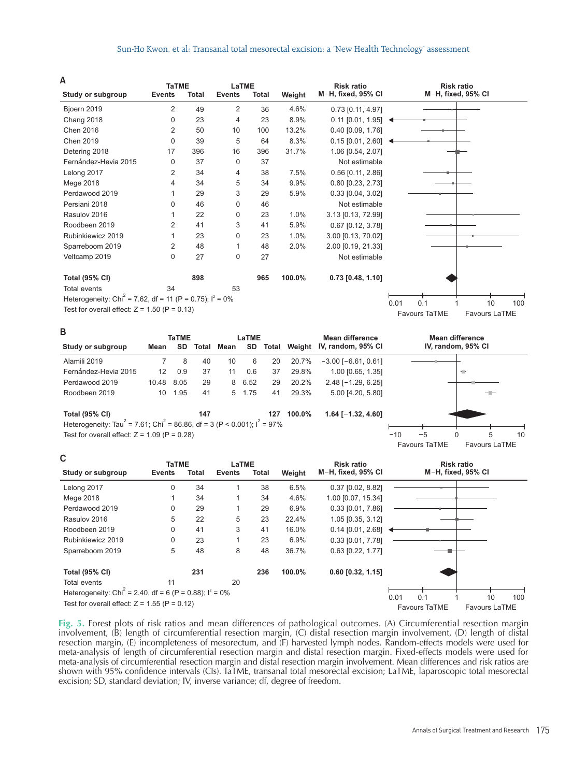#### Sun-Ho Kwon, et al: Transanal total mesorectal excision: a 'New Health Technology' assessment

**A**

| А                                                                      | <b>TaTME</b>  |       | LaTME         |       |        | <b>Risk ratio</b>                 | <b>Risk ratio</b>                             |
|------------------------------------------------------------------------|---------------|-------|---------------|-------|--------|-----------------------------------|-----------------------------------------------|
| Study or subgroup                                                      | <b>Events</b> | Total | <b>Events</b> | Total | Weight | M-H, fixed, 95% CI                | M-H, fixed, 95% CI                            |
| Bjoern 2019                                                            | 2             | 49    | 2             | 36    | 4.6%   | 0.73 [0.11, 4.97]                 |                                               |
| Chang 2018                                                             | 0             | 23    | 4             | 23    | 8.9%   | $0.11$ [0.01, 1.95] $\rightarrow$ |                                               |
| Chen 2016                                                              | 2             | 50    | 10            | 100   | 13.2%  | 0.40 [0.09, 1.76]                 |                                               |
| Chen 2019                                                              | $\Omega$      | 39    | 5             | 64    | 8.3%   | $0.15$ [0.01, 2.60]               |                                               |
| Detering 2018                                                          | 17            | 396   | 16            | 396   | 31.7%  | 1.06 [0.54, 2.07]                 |                                               |
| Fernández-Hevia 2015                                                   | 0             | 37    | $\mathbf 0$   | 37    |        | Not estimable                     |                                               |
| Lelong 2017                                                            | 2             | 34    | 4             | 38    | 7.5%   | $0.56$ [0.11, 2.86]               |                                               |
| Mege 2018                                                              | 4             | 34    | 5             | 34    | 9.9%   | $0.80$ [0.23, 2.73]               |                                               |
| Perdawood 2019                                                         |               | 29    | 3             | 29    | 5.9%   | $0.33$ [0.04, 3.02]               |                                               |
| Persiani 2018                                                          | 0             | 46    | $\mathbf 0$   | 46    |        | Not estimable                     |                                               |
| Rasulov 2016                                                           |               | 22    | 0             | 23    | 1.0%   | 3.13 [0.13, 72.99]                |                                               |
| Roodbeen 2019                                                          | 2             | 41    | 3             | 41    | 5.9%   | $0.67$ [0.12, 3.78]               |                                               |
| Rubinkiewicz 2019                                                      |               | 23    | $\mathbf 0$   | 23    | 1.0%   | 3.00 [0.13, 70.02]                |                                               |
| Sparreboom 2019                                                        | 2             | 48    | 1             | 48    | 2.0%   | 2.00 [0.19, 21.33]                |                                               |
| Veltcamp 2019                                                          | 0             | 27    | $\mathbf 0$   | 27    |        | Not estimable                     |                                               |
| <b>Total (95% CI)</b>                                                  |               | 898   |               | 965   | 100.0% | $0.73$ [0.48, 1.10]               |                                               |
| <b>Total events</b>                                                    | 34            |       | 53            |       |        |                                   |                                               |
| Heterogeneity: Chi <sup>2</sup> = 7.62, df = 11 (P = 0.75); $1^2$ = 0% |               |       |               |       |        |                                   | 0.1<br>100<br>10                              |
| Test for overall effect: $Z = 1.50$ (P = 0.13)                         |               |       |               |       |        |                                   | 0.01<br>Favours TaTME<br><b>Favours LaTME</b> |
|                                                                        |               |       |               |       |        |                                   |                                               |

| D                                                                                                          |                  | <b>TaTME</b> |       |      | LaTME  |       |        | Mean difference           | Mean difference      |                      |    |
|------------------------------------------------------------------------------------------------------------|------------------|--------------|-------|------|--------|-------|--------|---------------------------|----------------------|----------------------|----|
| Study or subgroup                                                                                          | Mean             | <b>SD</b>    | Total | Mean | SD.    | Total | Weiaht | IV, random, 95% CI        | IV, random, 95% CI   |                      |    |
| Alamili 2019                                                                                               |                  | 8            | 40    | 10   | 6      | 20    | 20.7%  | $-3.00$ [ $-6.61$ , 0.61] |                      |                      |    |
| Fernández-Hevia 2015                                                                                       | 12 <sup>12</sup> | 0.9          | 37    | 11   | 0.6    | 37    | 29.8%  | $1.00$ [0.65, 1.35]       |                      | ÷                    |    |
| Perdawood 2019                                                                                             | 10.48            | 8.05         | 29    |      | 8 6.52 | 29    | 20.2%  | $2.48$ [-1.29, 6.25]      |                      |                      |    |
| Roodbeen 2019                                                                                              | 10               | 1.95         | 41    |      | 5 1.75 | 41    | 29.3%  | 5.00 [4.20, 5.80]         |                      |                      |    |
| <b>Total (95% CI)</b>                                                                                      |                  |              | 147   |      |        | 127   | 100.0% | $1.64$ [-1.32, 4.60]      |                      |                      |    |
| Heterogeneity: Tau <sup>2</sup> = 7.61; Chi <sup>2</sup> = 86.86, df = 3 (P < 0.001); l <sup>2</sup> = 97% |                  |              |       |      |        |       |        |                           |                      |                      |    |
| Test for overall effect: $Z = 1.09$ (P = 0.28)                                                             |                  |              |       |      |        |       |        |                           | $-10$<br>0<br>$-5$   | 5                    | 10 |
|                                                                                                            |                  |              |       |      |        |       |        |                           | <b>Favours TaTME</b> | <b>Favours LaTME</b> |    |

#### **C**

**B**

| ັ                                                                      | <b>TaTME</b>  |       | LaTME         |              |        | <b>Risk ratio</b>          |      |               | <b>Risk ratio</b>  |                      |     |
|------------------------------------------------------------------------|---------------|-------|---------------|--------------|--------|----------------------------|------|---------------|--------------------|----------------------|-----|
| Study or subgroup                                                      | <b>Events</b> | Total | <b>Events</b> | <b>Total</b> | Weight | M-H, fixed, 95% CI         |      |               | M-H, fixed, 95% CI |                      |     |
| Lelong 2017                                                            | 0             | 34    | 1             | 38           | 6.5%   | $0.37$ [0.02, 8.82]        |      |               |                    |                      |     |
| Mege 2018                                                              |               | 34    |               | 34           | 4.6%   | 1.00 [0.07, 15.34]         |      |               |                    |                      |     |
| Perdawood 2019                                                         | 0             | 29    |               | 29           | 6.9%   | $0.33$ [ $0.01$ , $7.86$ ] |      |               |                    |                      |     |
| Rasulov 2016                                                           | 5             | 22    | 5             | 23           | 22.4%  | 1.05 [0.35, 3.12]          |      |               |                    |                      |     |
| Roodbeen 2019                                                          | 0             | 41    | 3             | 41           | 16.0%  | $0.14$ [0.01, 2.68]        |      |               |                    |                      |     |
| Rubinkiewicz 2019                                                      | 0             | 23    | 1             | 23           | 6.9%   | 0.33 [0.01, 7.78]          |      |               |                    |                      |     |
| Sparreboom 2019                                                        | 5             | 48    | 8             | 48           | 36.7%  | 0.63 [0.22, 1.77]          |      |               |                    |                      |     |
| <b>Total (95% CI)</b>                                                  |               | 231   |               | 236          | 100.0% | $0.60$ [0.32, 1.15]        |      |               |                    |                      |     |
| Total events                                                           | 11            |       | 20            |              |        |                            |      |               |                    |                      |     |
| Heterogeneity: Chi <sup>2</sup> = 2.40, df = 6 (P = 0.88); $I^2 = 0\%$ |               |       |               |              |        |                            | 0.01 | 0.1           |                    | 10                   | 100 |
| Test for overall effect: $Z = 1.55$ (P = 0.12)                         |               |       |               |              |        |                            |      | Favours TaTME |                    | <b>Favours LaTME</b> |     |

**Fig. 5.** Forest plots of risk ratios and mean differences of pathological outcomes. (A) Circumferential resection margin involvement, (B) length of circumferential resection margin, (C) distal resection margin involvement, (D) length of distal resection margin, (E) incompleteness of mesorectum, and (F) harvested lymph nodes. Random-effects models were used for meta-analysis of length of circumferential resection margin and distal resection margin. Fixed-effects models were used for meta-analysis of circumferential resection margin and distal resection margin involvement. Mean differences and risk ratios are shown with 95% confidence intervals (CIs). TaTME, transanal total mesorectal excision; LaTME, laparoscopic total mesorectal excision; SD, standard deviation; IV, inverse variance; df, degree of freedom.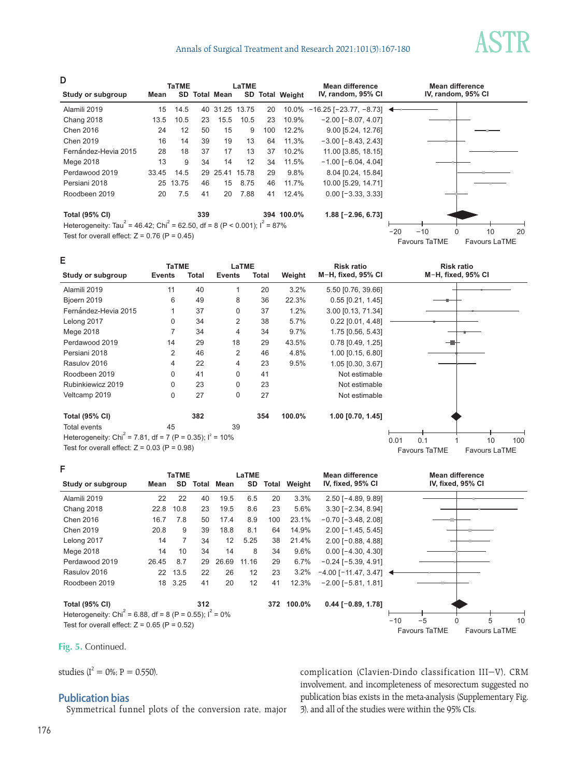# Annals of Surgical Treatment and Research 2021;101(3):167-180

**D**

|                                                                                                    |       | <b>TaTME</b> |     |                      | LaTME          |     |                 | Mean difference                                       |       | Mean difference    |    |    |
|----------------------------------------------------------------------------------------------------|-------|--------------|-----|----------------------|----------------|-----|-----------------|-------------------------------------------------------|-------|--------------------|----|----|
| Study or subgroup                                                                                  | Mean  |              |     | <b>SD Total Mean</b> |                |     | SD Total Weight | IV, random, 95% CI                                    |       | IV, random, 95% CI |    |    |
| Alamili 2019                                                                                       | 15    | 14.5         |     |                      | 40 31.25 13.75 | 20  |                 | $10.0\% - 16.25$ [-23.77, -8.73] $\blacktriangleleft$ |       |                    |    |    |
| Chang 2018                                                                                         | 13.5  | 10.5         | 23  | 15.5                 | 10.5           | 23  | 10.9%           | $-2.00$ [ $-8.07, 4.07$ ]                             |       |                    |    |    |
| Chen 2016                                                                                          | 24    | 12           | 50  | 15                   | 9              | 100 | 12.2%           | 9.00 [5.24, 12.76]                                    |       |                    |    |    |
| Chen 2019                                                                                          | 16    | 14           | 39  | 19                   | 13             | 64  | 11.3%           | $-3.00$ [ $-8.43$ , 2.43]                             |       |                    |    |    |
| Fernández-Hevia 2015                                                                               | 28    | 18           | 37  | 17                   | 13             | 37  | 10.2%           | 11.00 [3.85, 18.15]                                   |       |                    |    |    |
| Mege 2018                                                                                          | 13    | 9            | 34  | 14                   | 12             | 34  | 11.5%           | $-1.00$ [ $-6.04$ , 4.04]                             |       |                    |    |    |
| Perdawood 2019                                                                                     | 33.45 | 14.5         |     | 29 25.41             | 15.78          | 29  | 9.8%            | 8.04 [0.24, 15.84]                                    |       |                    |    |    |
| Persiani 2018                                                                                      | 25    | 13.75        | 46  | 15                   | 8.75           | 46  | 11.7%           | 10.00 [5.29, 14.71]                                   |       |                    |    |    |
| Roodbeen 2019                                                                                      | 20    | 7.5          | 41  | 20                   | 7.88           | 41  | 12.4%           | $0.00$ [ $-3.33$ , 3.33]                              |       |                    |    |    |
| <b>Total (95% CI)</b>                                                                              |       |              | 339 |                      |                |     | 394 100.0%      | $1.88$ [-2.96, 6.73]                                  |       |                    |    |    |
| Heterogeneity: Tau <sup>2</sup> = 46.42; Chi <sup>2</sup> = 62.50, df = 8 (P < 0.001); $I^2$ = 87% |       |              |     |                      |                |     |                 |                                                       |       |                    |    |    |
| Toot for overall effect: $7 - 0.76$ $(D - 0.45)$                                                   |       |              |     |                      |                |     |                 |                                                       | $-20$ | $-10$              | 10 | 20 |

Favours TaTME Favours LaTME

Test for overall effect:  $Z = 0.76$  (P = 0.45)

| Е                                                                      | <b>TaTME</b>  |       | LaTME         |              |        | <b>Risk ratio</b>   |      |                      | <b>Risk ratio</b>  |                      |     |
|------------------------------------------------------------------------|---------------|-------|---------------|--------------|--------|---------------------|------|----------------------|--------------------|----------------------|-----|
| Study or subgroup                                                      | <b>Events</b> | Total | <b>Events</b> | <b>Total</b> | Weight | M-H, fixed, 95% CI  |      |                      | M-H, fixed, 95% CI |                      |     |
| Alamili 2019                                                           | 11            | 40    | 1             | 20           | 3.2%   | 5.50 [0.76, 39.66]  |      |                      |                    |                      |     |
| Bjoern 2019                                                            | 6             | 49    | 8             | 36           | 22.3%  | $0.55$ [0.21, 1.45] |      |                      |                    |                      |     |
| Fernández-Hevia 2015                                                   |               | 37    | $\Omega$      | 37           | 1.2%   | 3.00 [0.13, 71.34]  |      |                      |                    |                      |     |
| Lelong 2017                                                            | 0             | 34    | 2             | 38           | 5.7%   | $0.22$ [0.01, 4.48] |      |                      |                    |                      |     |
| Mege 2018                                                              | 7             | 34    | 4             | 34           | 9.7%   | 1.75 [0.56, 5.43]   |      |                      |                    |                      |     |
| Perdawood 2019                                                         | 14            | 29    | 18            | 29           | 43.5%  | $0.78$ [0.49, 1.25] |      |                      |                    |                      |     |
| Persiani 2018                                                          | 2             | 46    | 2             | 46           | 4.8%   | 1.00 [0.15, 6.80]   |      |                      |                    |                      |     |
| Rasulov 2016                                                           | 4             | 22    | 4             | 23           | 9.5%   | 1.05 [0.30, 3.67]   |      |                      |                    |                      |     |
| Roodbeen 2019                                                          | $\Omega$      | 41    | $\Omega$      | 41           |        | Not estimable       |      |                      |                    |                      |     |
| Rubinkiewicz 2019                                                      | 0             | 23    | 0             | 23           |        | Not estimable       |      |                      |                    |                      |     |
| Veltcamp 2019                                                          | 0             | 27    | $\mathbf 0$   | 27           |        | Not estimable       |      |                      |                    |                      |     |
| <b>Total (95% CI)</b>                                                  |               | 382   |               | 354          | 100.0% | $1.00$ [0.70, 1.45] |      |                      |                    |                      |     |
| <b>Total events</b>                                                    | 45            |       | 39            |              |        |                     |      |                      |                    |                      |     |
| Heterogeneity: Chi <sup>2</sup> = 7.81, df = 7 (P = 0.35); $I^2$ = 10% |               |       |               |              |        |                     | 0.01 | 0.1                  |                    | 10                   | 100 |
| Test for overall effect: $Z = 0.03$ (P = 0.98)                         |               |       |               |              |        |                     |      | <b>Favours TaTME</b> |                    | <b>Favours LaTME</b> |     |

|                                                                                             | <b>TaTME</b> |           |       | LaTME |       |       |        | <b>Mean difference</b>                      |       | Mean difference   |   |   |    |
|---------------------------------------------------------------------------------------------|--------------|-----------|-------|-------|-------|-------|--------|---------------------------------------------|-------|-------------------|---|---|----|
| Study or subgroup                                                                           | Mean         | <b>SD</b> | Total | Mean  | SD    | Total | Weight | IV, fixed, 95% CI                           |       | IV, fixed, 95% CI |   |   |    |
| Alamili 2019                                                                                | 22           | 22        | 40    | 19.5  | 6.5   | 20    | 3.3%   | $2.50$ [-4.89, 9.89]                        |       |                   |   |   |    |
| Chang 2018                                                                                  | 22.8         | 10.8      | 23    | 19.5  | 8.6   | 23    | 5.6%   | $3.30$ [-2.34, 8.94]                        |       |                   |   |   |    |
| Chen 2016                                                                                   | 16.7         | 7.8       | 50    | 17.4  | 8.9   | 100   | 23.1%  | $-0.70$ [ $-3.48$ , 2.08]                   |       |                   |   |   |    |
| Chen 2019                                                                                   | 20.8         | 9         | 39    | 18.8  | 8.1   | 64    | 14.9%  | $2.00$ [-1.45, 5.45]                        |       |                   |   |   |    |
| Lelong 2017                                                                                 | 14           | 7         | 34    | 12    | 5.25  | 38    | 21.4%  | $2.00$ [ $-0.88$ , 4.88]                    |       |                   |   |   |    |
| Mege 2018                                                                                   | 14           | 10        | 34    | 14    | 8     | 34    | 9.6%   | $0.00$ [-4.30, 4.30]                        |       |                   |   |   |    |
| Perdawood 2019                                                                              | 26.45        | 8.7       | 29    | 26.69 | 11.16 | 29    | 6.7%   | $-0.24$ [ $-5.39$ , 4.91]                   |       |                   |   |   |    |
| Rasulov 2016                                                                                | 22           | 13.5      | 22    | 26    | 12    | 23    | 3.2%   | $-4.00$ [-11.47, 3.47] $\blacktriangleleft$ |       |                   |   |   |    |
| Roodbeen 2019                                                                               | 18           | 3.25      | 41    | 20    | 12    | 41    | 12.3%  | $-2.00$ [ $-5.81$ , 1.81]                   |       |                   |   |   |    |
| <b>Total (95% CI)</b>                                                                       |              |           | 312   |       |       | 372   | 100.0% | $0.44$ [-0.89, 1.78]                        |       |                   |   |   |    |
| Heterogeneity: Chi <sup><math>2</math></sup> = 6.88, df = 8 (P = 0.55); l <sup>2</sup> = 0% |              |           |       |       |       |       |        |                                             |       |                   |   |   |    |
|                                                                                             |              |           |       |       |       |       |        |                                             | $-10$ | $-5$              | 0 | 5 | 10 |

Test for overall effect:  $Z = 0.65$  (P = 0.52)

**Fig. 5.** Continued.

**F**

studies ( $I^2 = 0\%$ ; P = 0.550).

# **Publication bias**

Symmetrical funnel plots of the conversion rate, major

Favours TaTME Favours LaTME 10 5 0 5 10

complication (Clavien-Dindo classification III−V), CRM involvement, and incompleteness of mesorectum suggested no publication bias exists in the meta-analysis (Supplementary Fig. 3), and all of the studies were within the 95% CIs.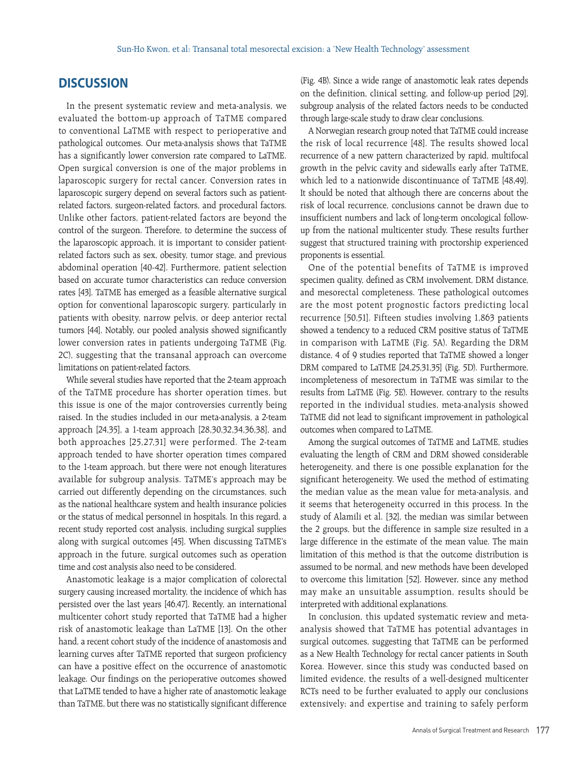# **DISCUSSION**

In the present systematic review and meta-analysis, we evaluated the bottom-up approach of TaTME compared to conventional LaTME with respect to perioperative and pathological outcomes. Our meta-analysis shows that TaTME has a significantly lower conversion rate compared to LaTME. Open surgical conversion is one of the major problems in laparoscopic surgery for rectal cancer. Conversion rates in laparoscopic surgery depend on several factors such as patientrelated factors, surgeon-related factors, and procedural factors. Unlike other factors, patient-related factors are beyond the control of the surgeon. Therefore, to determine the success of the laparoscopic approach, it is important to consider patientrelated factors such as sex, obesity, tumor stage, and previous abdominal operation [40-42]. Furthermore, patient selection based on accurate tumor characteristics can reduce conversion rates [43]. TaTME has emerged as a feasible alternative surgical option for conventional laparoscopic surgery, particularly in patients with obesity, narrow pelvis, or deep anterior rectal tumors [44]. Notably, our pooled analysis showed significantly lower conversion rates in patients undergoing TaTME (Fig. 2C), suggesting that the transanal approach can overcome limitations on patient-related factors.

While several studies have reported that the 2-team approach of the TaTME procedure has shorter operation times, but this issue is one of the major controversies currently being raised. In the studies included in our meta-analysis, a 2-team approach [24,35], a 1-team approach [28,30,32,34,36,38], and both approaches [25,27,31] were performed. The 2-team approach tended to have shorter operation times compared to the 1-team approach, but there were not enough literatures available for subgroup analysis. TaTME's approach may be carried out differently depending on the circumstances, such as the national healthcare system and health insurance policies or the status of medical personnel in hospitals. In this regard, a recent study reported cost analysis, including surgical supplies along with surgical outcomes [45]. When discussing TaTME's approach in the future, surgical outcomes such as operation time and cost analysis also need to be considered.

Anastomotic leakage is a major complication of colorectal surgery causing increased mortality, the incidence of which has persisted over the last years [46,47]. Recently, an international multicenter cohort study reported that TaTME had a higher risk of anastomotic leakage than LaTME [13]. On the other hand, a recent cohort study of the incidence of anastomosis and learning curves after TaTME reported that surgeon proficiency can have a positive effect on the occurrence of anastomotic leakage. Our findings on the perioperative outcomes showed that LaTME tended to have a higher rate of anastomotic leakage than TaTME, but there was no statistically significant difference (Fig. 4B). Since a wide range of anastomotic leak rates depends on the definition, clinical setting, and follow-up period [29], subgroup analysis of the related factors needs to be conducted through large-scale study to draw clear conclusions.

A Norwegian research group noted that TaTME could increase the risk of local recurrence [48]. The results showed local recurrence of a new pattern characterized by rapid, multifocal growth in the pelvic cavity and sidewalls early after TaTME, which led to a nationwide discontinuance of TaTME [48,49]. It should be noted that although there are concerns about the risk of local recurrence, conclusions cannot be drawn due to insufficient numbers and lack of long-term oncological followup from the national multicenter study. These results further suggest that structured training with proctorship experienced proponents is essential.

One of the potential benefits of TaTME is improved specimen quality, defined as CRM involvement, DRM distance, and mesorectal completeness. These pathological outcomes are the most potent prognostic factors predicting local recurrence [50,51]. Fifteen studies involving 1,863 patients showed a tendency to a reduced CRM positive status of TaTME in comparison with LaTME (Fig. 5A). Regarding the DRM distance, 4 of 9 studies reported that TaTME showed a longer DRM compared to LaTME [24,25,31,35] (Fig. 5D). Furthermore, incompleteness of mesorectum in TaTME was similar to the results from LaTME (Fig. 5E). However, contrary to the results reported in the individual studies, meta-analysis showed TaTME did not lead to significant improvement in pathological outcomes when compared to LaTME.

Among the surgical outcomes of TaTME and LaTME, studies evaluating the length of CRM and DRM showed considerable heterogeneity, and there is one possible explanation for the significant heterogeneity. We used the method of estimating the median value as the mean value for meta-analysis, and it seems that heterogeneity occurred in this process. In the study of Alamili et al. [32], the median was similar between the 2 groups, but the difference in sample size resulted in a large difference in the estimate of the mean value. The main limitation of this method is that the outcome distribution is assumed to be normal, and new methods have been developed to overcome this limitation [52]. However, since any method may make an unsuitable assumption, results should be interpreted with additional explanations.

In conclusion, this updated systematic review and metaanalysis showed that TaTME has potential advantages in surgical outcomes, suggesting that TaTME can be performed as a New Health Technology for rectal cancer patients in South Korea. However, since this study was conducted based on limited evidence, the results of a well-designed multicenter RCTs need to be further evaluated to apply our conclusions extensively; and expertise and training to safely perform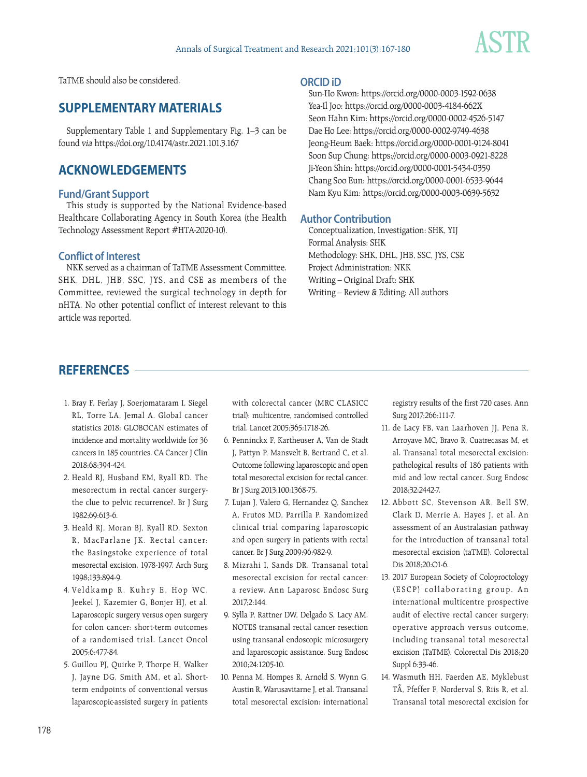

TaTME should also be considered.

# **SUPPLEMENTARY MATERIALS**

Supplementary Table 1 and Supplementary Fig. 1–3 can be found via https://doi.org/10.4174/astr.2021.101.3.167

# **ACKNOWLEDGEMENTS**

# **Fund/Grant Support**

This study is supported by the National Evidence-based Healthcare Collaborating Agency in South Korea (the Health Technology Assessment Report #HTA-2020-10).

# **Conflict of Interest**

NKK served as a chairman of TaTME Assessment Committee. SHK, DHL, JHB, SSC, JYS, and CSE as members of the Committee, reviewed the surgical technology in depth for nHTA. No other potential conflict of interest relevant to this article was reported.

## **ORCID iD**

Sun-Ho Kwon: https://orcid.org/0000-0003-1592-0638 Yea-Il Joo: https://orcid.org/0000-0003-4184-662X Seon Hahn Kim: https://orcid.org/0000-0002-4526-5147 Dae Ho Lee: https://orcid.org/0000-0002-9749-4638 Jeong-Heum Baek: https://orcid.org/0000-0001-9124-8041 Soon Sup Chung: https://orcid.org/0000-0003-0921-8228 Ji-Yeon Shin: https://orcid.org/0000-0001-5434-0359 Chang Soo Eun: https://orcid.org/0000-0001-6533-9644 Nam Kyu Kim: https://orcid.org/0000-0003-0639-5632

# **Author Contribution**

Conceptualization, Investigation: SHK, YIJ Formal Analysis: SHK Methodology: SHK, DHL, JHB, SSC, JYS, CSE Project Administration: NKK Writing – Original Draft: SHK Writing – Review & Editing: All authors

# **REFERENCES**

- 1. Bray F, Ferlay J, Soerjomataram I, Siegel RL, Torre LA, Jemal A. Global cancer statistics 2018: GLOBOCAN estimates of incidence and mortality worldwide for 36 cancers in 185 countries. CA Cancer J Clin 2018;68:394-424.
- 2. Heald RJ, Husband EM, Ryall RD. The mesorectum in rectal cancer surgerythe clue to pelvic recurrence?. Br J Surg 1982;69:613-6.
- 3. Heald RJ, Moran BJ, Ryall RD, Sexton R. MacFarlane JK. Rectal cancer: the Basingstoke experience of total mesorectal excision, 1978-1997. Arch Surg 1998;133:894-9.
- 4. Veldkamp R, Kuhry E, Hop WC, Jeekel J, Kazemier G, Bonjer HJ, et al. Laparoscopic surgery versus open surgery for colon cancer: short-term outcomes of a randomised trial. Lancet Oncol 2005;6:477-84.
- 5. Guillou PJ, Quirke P, Thorpe H, Walker J, Jayne DG, Smith AM, et al. Shortterm endpoints of conventional versus laparoscopic-assisted surgery in patients

with colorectal cancer (MRC CLASICC trial): multicentre, randomised controlled trial. Lancet 2005;365:1718-26.

- 6. Penninckx F, Kartheuser A, Van de Stadt J, Pattyn P, Mansvelt B, Bertrand C, et al. Outcome following laparoscopic and open total mesorectal excision for rectal cancer. Br J Surg 2013;100:1368-75.
- 7. Lujan J, Valero G, Hernandez Q, Sanchez A, Frutos MD, Parrilla P. Randomized clinical trial comparing laparoscopic and open surgery in patients with rectal cancer. Br J Surg 2009;96:982-9.
- 8. Mizrahi I, Sands DR. Transanal total mesorectal excision for rectal cancer: a review. Ann Laparosc Endosc Surg 2017;2:144.
- 9. Sylla P, Rattner DW, Delgado S, Lacy AM. NOTES transanal rectal cancer resection using transanal endoscopic microsurgery and laparoscopic assistance. Surg Endosc 2010;24:1205-10.
- 10. Penna M, Hompes R, Arnold S, Wynn G, Austin R, Warusavitarne J, et al. Transanal total mesorectal excision: international

registry results of the first 720 cases. Ann Surg 2017;266:111-7.

- 11. de Lacy FB, van Laarhoven JJ, Pena R, Arroyave MC, Bravo R, Cuatrecasas M, et al. Transanal total mesorectal excision: pathological results of 186 patients with mid and low rectal cancer. Surg Endosc 2018;32:2442-7.
- 12. Abbott SC, Stevenson AR, Bell SW, Clark D, Merrie A, Hayes J, et al. An assessment of an Australasian pathway for the introduction of transanal total mesorectal excision (taTME). Colorectal Dis 2018;20:O1-6.
- 13. 2017 European Society of Coloproctology (ESCP) collaborating group. An international multicentre prospective audit of elective rectal cancer surgery; operative approach versus outcome, including transanal total mesorectal excision (TaTME). Colorectal Dis 2018;20 Suppl 6:33-46.
- 14. Wasmuth HH, Faerden AE, Myklebust TÅ, Pfeffer F, Norderval S, Riis R, et al. Transanal total mesorectal excision for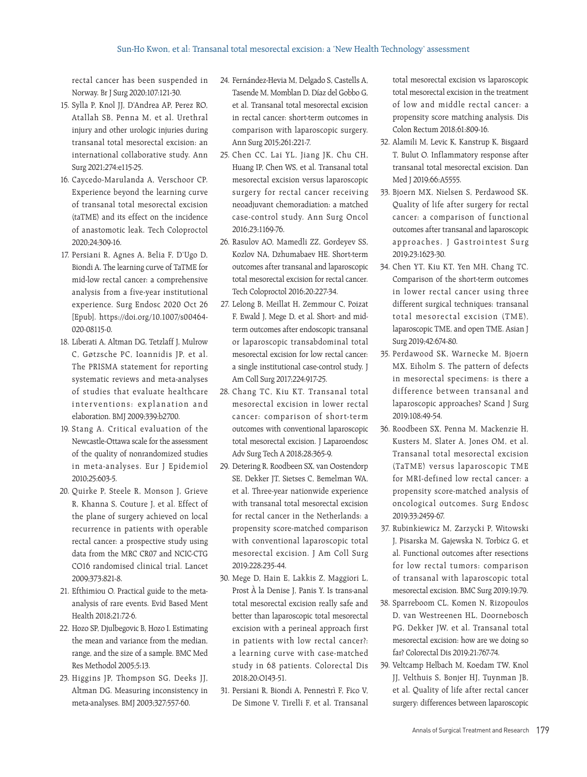rectal cancer has been suspended in Norway. Br J Surg 2020;107:121-30.

- 15. Sylla P, Knol JJ, D'Andrea AP, Perez RO, Atallah SB, Penna M, et al. Urethral injury and other urologic injuries during transanal total mesorectal excision: an international collaborative study. Ann Surg 2021;274:e115-25.
- 16. Caycedo-Marulanda A, Verschoor CP. Experience beyond the learning curve of transanal total mesorectal excision (taTME) and its effect on the incidence of anastomotic leak. Tech Coloproctol 2020;24:309-16.
- 17. Persiani R, Agnes A, Belia F, D'Ugo D, Biondi A. The learning curve of TaTME for mid-low rectal cancer: a comprehensive analysis from a five-year institutional experience. Surg Endosc 2020 Oct 26 [Epub]. https://doi.org/10.1007/s00464- 020-08115-0.
- 18. Liberati A, Altman DG, Tetzlaff J, Mulrow C, Gøtzsche PC, Ioannidis JP, et al. The PRISMA statement for reporting systematic reviews and meta-analyses of studies that evaluate healthcare interventions: explanation and elaboration. BMJ 2009;339:b2700.
- 19. Stang A. Critical evaluation of the Newcastle-Ottawa scale for the assessment of the quality of nonrandomized studies in meta-analyses. Eur J Epidemiol 2010;25:603-5.
- 20. Quirke P, Steele R, Monson J, Grieve R, Khanna S, Couture J, et al. Effect of the plane of surgery achieved on local recurrence in patients with operable rectal cancer: a prospective study using data from the MRC CR07 and NCIC-CTG CO16 randomised clinical trial. Lancet 2009;373:821-8.
- 21. Efthimiou O. Practical guide to the metaanalysis of rare events. Evid Based Ment Health 2018;21:72-6.
- 22. Hozo SP, Djulbegovic B, Hozo I. Estimating the mean and variance from the median, range, and the size of a sample. BMC Med Res Methodol 2005;5:13.
- 23. Higgins JP, Thompson SG, Deeks JJ, Altman DG. Measuring inconsistency in meta-analyses. BMJ 2003;327:557-60.
- 24. Fernández-Hevia M, Delgado S, Castells A, Tasende M, Momblan D, Díaz del Gobbo G, et al. Transanal total mesorectal excision in rectal cancer: short-term outcomes in comparison with laparoscopic surgery. Ann Surg 2015;261:221-7.
- 25. Chen CC, Lai YL, Jiang JK, Chu CH, Huang IP, Chen WS, et al. Transanal total mesorectal excision versus laparoscopic surgery for rectal cancer receiving neoadjuvant chemoradiation: a matched case-control study. Ann Surg Oncol 2016;23:1169-76.
- 26. Rasulov AO, Mamedli ZZ, Gordeyev SS, Kozlov NA, Dzhumabaev HE. Short-term outcomes after transanal and laparoscopic total mesorectal excision for rectal cancer. Tech Coloproctol 2016;20:227-34.
- 27. Lelong B, Meillat H, Zemmour C, Poizat F, Ewald J, Mege D, et al. Short- and midterm outcomes after endoscopic transanal or laparoscopic transabdominal total mesorectal excision for low rectal cancer: a single institutional case-control study. J Am Coll Surg 2017;224:917-25.
- 28. Chang TC, Kiu KT. Transanal total mesorectal excision in lower rectal cancer: comparison of short-term outcomes with conventional laparoscopic total mesorectal excision. J Laparoendosc Adv Surg Tech A 2018;28:365-9.
- 29. Detering R, Roodbeen SX, van Oostendorp SE, Dekker JT, Sietses C, Bemelman WA, et al. Three-year nationwide experience with transanal total mesorectal excision for rectal cancer in the Netherlands: a propensity score-matched comparison with conventional laparoscopic total mesorectal excision. J Am Coll Surg 2019;228:235-44.
- 30. Mege D, Hain E, Lakkis Z, Maggiori L, Prost À la Denise J, Panis Y. Is trans-anal total mesorectal excision really safe and better than laparoscopic total mesorectal excision with a perineal approach first in patients with low rectal cancer?: a learning curve with case-matched study in 68 patients. Colorectal Dis 2018;20:O143-51.
- 31. Persiani R, Biondi A, Pennestrì F, Fico V, De Simone V, Tirelli F, et al. Transanal

total mesorectal excision vs laparoscopic total mesorectal excision in the treatment of low and middle rectal cancer: a propensity score matching analysis. Dis Colon Rectum 2018;61:809-16.

- 32. Alamili M, Levic K, Kanstrup K, Bisgaard T, Bulut O. Inflammatory response after transanal total mesorectal excision. Dan Med J 2019;66:A5555.
- 33. Bjoern MX, Nielsen S, Perdawood SK. Quality of life after surgery for rectal cancer: a comparison of functional outcomes after transanal and laparoscopic approaches. J Gastrointest Surg 2019;23:1623-30.
- 34. Chen YT, Kiu KT, Yen MH, Chang TC. Comparison of the short-term outcomes in lower rectal cancer using three different surgical techniques: transanal total mesorectal excision (TME), laparoscopic TME, and open TME. Asian J Surg 2019;42:674-80.
- 35. Perdawood SK, Warnecke M, Bjoern MX, Eiholm S. The pattern of defects in mesorectal specimens: is there a difference between transanal and laparoscopic approaches? Scand J Surg 2019;108:49-54.
- 36. Roodbeen SX, Penna M, Mackenzie H, Kusters M, Slater A, Jones OM, et al. Transanal total mesorectal excision (TaTME) versus laparoscopic TME for MRI-defined low rectal cancer: a propensity score-matched analysis of oncological outcomes. Surg Endosc 2019;33:2459-67.
- 37. Rubinkiewicz M, Zarzycki P, Witowski J, Pisarska M, Gajewska N, Torbicz G, et al. Functional outcomes after resections for low rectal tumors: comparison of transanal with laparoscopic total mesorectal excision. BMC Surg 2019;19:79.
- 38. Sparreboom CL, Komen N, Rizopoulos D, van Westreenen HL, Doornebosch PG, Dekker JW, et al. Transanal total mesorectal excision: how are we doing so far? Colorectal Dis 2019;21:767-74.
- 39. Veltcamp Helbach M, Koedam TW, Knol JJ, Velthuis S, Bonjer HJ, Tuynman JB, et al. Quality of life after rectal cancer surgery: differences between laparoscopic